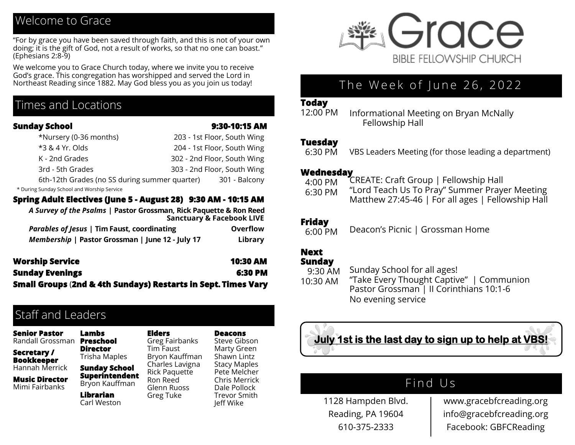# Welcome to Grace

"For by grace you have been saved through faith, and this is not of your own doing; it is the gift of God, not a result of works, so that no one can boast." (Ephesians 2:8-9)

We welcome you to Grace Church today, where we invite you to receive God's grace. This congregation has worshipped and served the Lord in Northeast Reading since 1882. May God bless you as you join us today!

## Times and Locations

#### **Sunday School 9:30-10:15 AM**

| *Nursery (0-36 months)                        | 203 - 1st Floor, South Wing |
|-----------------------------------------------|-----------------------------|
| *3 & 4 Yr. Olds                               | 204 - 1st Floor, South Wing |
| K - 2nd Grades                                | 302 - 2nd Floor, South Wing |
| 3rd - 5th Grades                              | 303 - 2nd Floor, South Wing |
| 6th-12th Grades (no SS during summer quarter) | 301 - Balcony               |

\* During Sunday School and Worship Service

#### **Spring Adult Electives (June 5 - August 28) 9:30 AM - 10:15 AM**

| A Survey of the Psalms   Pastor Grossman, Rick Paquette & Ron Reed<br><b>Sanctuary &amp; Facebook LIVE</b> |          |
|------------------------------------------------------------------------------------------------------------|----------|
| <b>Parables of Jesus   Tim Faust, coordinating</b>                                                         | Overflow |
| Membership   Pastor Grossman   June 12 - July 17                                                           | Library  |

| <b>Worship Service</b>                                        | <b>10:30 AM</b> |
|---------------------------------------------------------------|-----------------|
| <b>Sunday Evenings</b>                                        | 6:30 PM         |
| Small Groups (2nd & 4th Sundays) Restarts in Sept. Times Vary |                 |

**Elders**

# Staff and Leaders

**Lambs** 

**Senior Pastor** Randall Grossman **Preschool** 

**Secretary / Bookkeeper** Hannah Merrick

**Music Director** Mimi Fairbanks

**Director** Trisha Maples **Sunday School Superintendent**  Bryon Kauffman **Librarian**  Carl Weston Greg Fairbanks Tim Faust Bryon Kauffman Charles Lavigna Rick Paquette Ron Reed Glenn Ruoss Greg Tuke

**Deacons** Steve Gibson Marty Green Shawn Lintz Stacy Maples Pete Melcher Chris Merrick Dale Pollock Trevor Smith Jeff Wike



# The Week of June 26, 2022

#### **Today**

12:00 PM

Informational Meeting on Bryan McNally Fellowship Hall

#### **Tuesday**

 6:30 PM VBS Leaders Meeting (for those leading a department)

#### **Wednesday**

- 4:00 PM CREATE: Craft Group | Fellowship Hall
- 6:30 PM "Lord Teach Us To Pray" Summer Prayer Meeting Matthew 27:45-46 | For all ages | Fellowship Hall

#### **Friday**

 6:00 PM Deacon's Picnic | Grossman Home

## **Next**

**Sunday** 

 9:30 AM 10:30 AM Sunday School for all ages! "Take Every Thought Captive" | Communion Pastor Grossman | II Corinthians 10:1-6 No evening service



# Find Us

1128 Hampden Blvd. Reading, PA 19604 610-375-2333

www.gracebfcreading.org info@gracebfcreading.org Facebook: GBFCReading